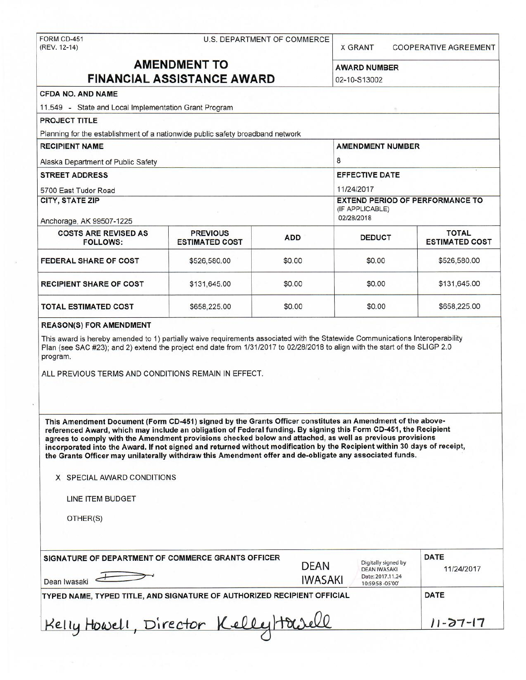# FORM CD-451 U.S. DEPARTMENT OF COMMERCE (REV. 12-14)

X GRANT COOPERATIVE AGREEMENT

# **AMENDMENT TO** AWARD NUMBER

# **FINANCIAL ASSISTANCE AWARD 102-10-S13002 CFDA NO. AND NAME**  11.549 - State and Local Implementation Grant Program **PROJECT TITLE**  Planning for the establishment of a nationwide public safety broadband network **RECIPIENT NAME** AMENDMENT NUMBER Alaska Department of Public Safety 8 **STREET ADDRESS EFFECTIVE DATE** 5700 East Tudor Road 11/24/2017 **CITY, STATE ZIP EXTEND PERIOD OF PERFORMANCE TO**  (IF APPLICABLE) Anchorage, AK 99507-1225 02/28/2018 COSTS ARE REVISED AS PREVIOUS **ADD** DEDUCT TOTAL TOTAL **TOTAL**<br>
FOLLOWS: ESTIMATED COST ADD DEDUCT ESTIMATED COST **ESTIMATED COST FEDERAL SHARE OF COST**  $\begin{array}{|c|c|c|c|c|c|} \hline \text{ $>$626,580.00$} & $0.00 & $526,580.00 \hline \end{array}$ **RECIPIENT SHARE OF COST**  $$131,645.00$  $$0.00$  **\$0.00 \$131,645.00** \$131,645.00 **TOTAL ESTIMATED COST**  $$658,225.00$  $$0.00$  **\$0.00 \$658,225.00 \$658,225.00 REASON(S) FOR AMENDMENT**  This award is hereby amended to 1} partially waive requirements associated with the Statewide Communications Interoperability Plan (see SAC #23); and 2) extend the project end date from 1/31/2017 to 02/28/2018 to align with the start of the SLIGP 2.0 program. ALL PREVIOUS TERMS AND CONDITIONS REMAIN IN EFFECT. **This Amendment Document (Form CD-451) signed by the Grants Officer constitutes an Amendment of the abovereferenced Award, which may include an obligation of Federal funding. By signing this Form CD-451 , the Recipient agrees to comply with the Amendment provisions checked below and attached, as well as previous provisions**  incorporated into the **Award.** If not signed and returned without modification by the Recipient within 30 days of receipt, **the Grants Officer may unilaterally withdraw this Amendment offer and de-obligate any associated funds. X** SPECIAL AWARD CONDITIONS

LINE ITEM BUDGET

OTHER(S)

| SIGNATURE OF DEPARTMENT OF COMMERCE GRANTS OFFICER<br>Dean Iwasaki      | <b>DEAN</b><br><b>IWASAKI</b> | Digitally signed by<br><b>DEAN IWASAKI</b><br>Date: 2017.11.24<br>10:59:58 -05'00" | <b>DATE</b><br>11/24/2017 |
|-------------------------------------------------------------------------|-------------------------------|------------------------------------------------------------------------------------|---------------------------|
| TYPED NAME, TYPED TITLE, AND SIGNATURE OF AUTHORIZED RECIPIENT OFFICIAL | <b>DATE</b>                   |                                                                                    |                           |
| Kelly Howell, Director Kelly Howell                                     | $11 - 27 - 17$                |                                                                                    |                           |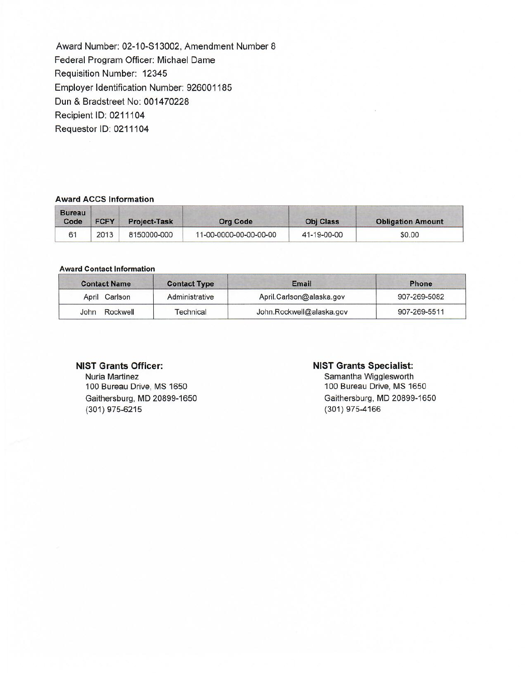Award Number: 02-10-S13002, Amendment Number 8 Federal Program Officer: Michael Dame Requisition Number: 12345 Employer Identification Number: 926001185 Dun & Bradstreet No: 001470228 Recipient ID: 021 1104 Requestor ID: 0211104

#### **Award ACCS Information**

| <b>Bureau</b><br>Code | <b>FCFY</b> | <b>Project-Task</b> | <b>Org Code</b>        | <b>Obj Class</b> | <b>Obligation Amount</b> |
|-----------------------|-------------|---------------------|------------------------|------------------|--------------------------|
| 61                    | 2013        | 8150000-000         | 11-00-0000-00-00-00-00 | 41-19-00-00      | \$0.00                   |

#### **Award Contact Information**

| <b>Contact Name</b> | <b>Contact Type</b> | Email                    | <b>Phone</b> |
|---------------------|---------------------|--------------------------|--------------|
| April Carlson       | Administrative      | April.Carlson@alaska.gov | 907-269-5082 |
| Rockwell<br>John    | Technical           | John.Rockwell@alaska.gov | 907-269-5511 |

### **NIST Grants Officer:**

Nuria Martinez 100 Bureau Drive, MS 1650 Gaithersburg, MD 20899-1650 (301) 975-6215

#### **NIST Grants Specialist:**

Samantha Wigglesworth 100 Bureau Drive, MS 1650 Gaithersburg, MD 20899-1650 (301) 975-4166